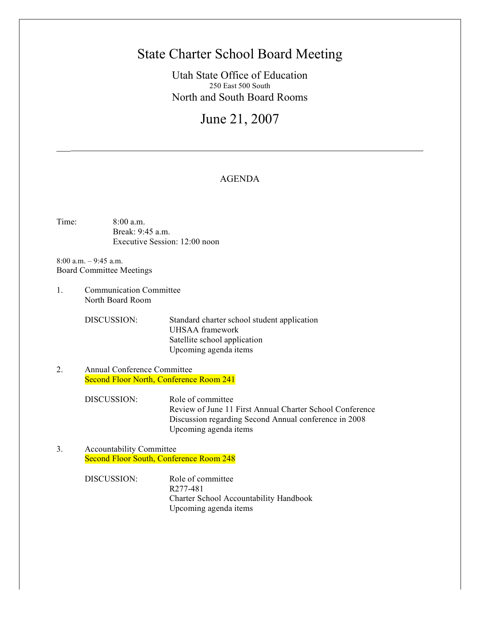# State Charter School Board Meeting

Utah State Office of Education 250 East 500 South North and South Board Rooms

# June 21, 2007

## AGENDA

Time: 8:00 a.m. Break: 9:45 a.m. Executive Session: 12:00 noon

8:00 a.m. – 9:45 a.m. Board Committee Meetings

 $\mathcal{L}_\mathcal{L}$ 

1. Communication Committee North Board Room

> DISCUSSION: Standard charter school student application UHSAA framework Satellite school application Upcoming agenda items

2. Annual Conference Committee Second Floor North, Conference Room 241

> DISCUSSION: Role of committee Review of June 11 First Annual Charter School Conference Discussion regarding Second Annual conference in 2008 Upcoming agenda items

3. Accountability Committee Second Floor South, Conference Room 248

> DISCUSSION: Role of committee R277-481 Charter School Accountability Handbook Upcoming agenda items